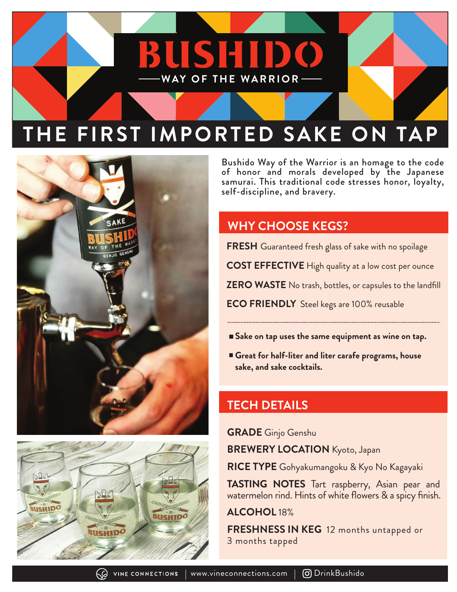# **THE FIRST IMPORTED SAKE ON TAP**

**WAY OF THE WARRIOR**

**BUSHID** 





Bushido Way of the Warrior is an homage to the code of honor and morals developed by the Japanese samurai. This traditional code stresses honor, loyalty, self-discipline, and bravery.

## **WHY CHOOSE KEGS?**

**FRESH** Guaranteed fresh glass of sake with no spoilage

**COST EFFECTIVE** High quality at a low cost per ounce

**ZERO WASTE** No trash, bottles, or capsules to the landfill

**ECO FRIENDLY** Steel kegs are 100% reusable

- **Sake on tap uses the same equipment as wine on tap.**
- **Great for half-liter and liter carafe programs, house sake, and sake cocktails.**

### **TECH DETAILS**

**GRADE** Ginjo Genshu

**BREWERY LOCATION** Kyoto, Japan

**RICE TYPE** Gohyakumangoku & Kyo No Kagayaki

**TASTING NOTES** Tart raspberry, Asian pear and watermelon rind. Hints of white flowers & a spicy finish.

**ALCOHOL** 18%

**FRESHNESS IN KEG** 12 months untapped or 3 months tapped